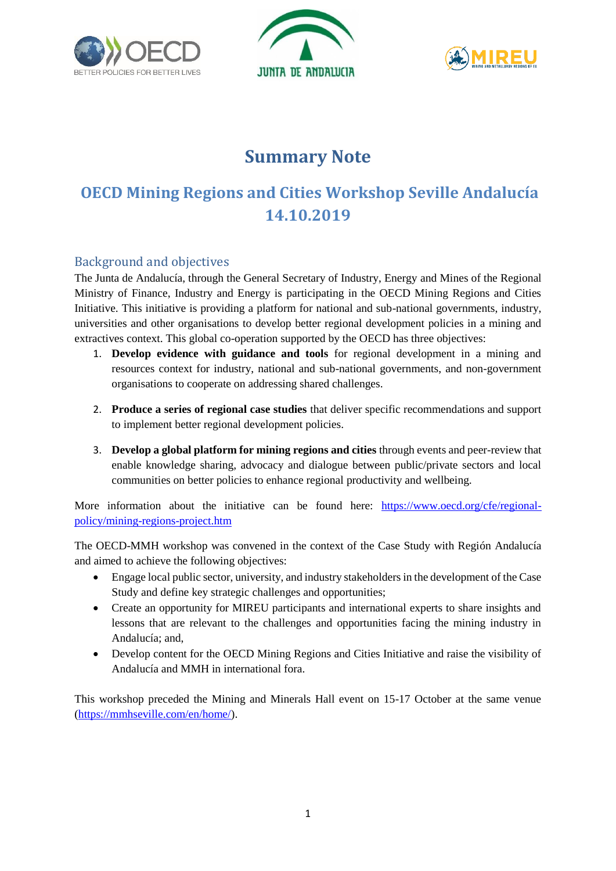





# **Summary Note**

# **OECD Mining Regions and Cities Workshop Seville Andalucía 14.10.2019**

# Background and objectives

The Junta de Andalucía, through the General Secretary of Industry, Energy and Mines of the Regional Ministry of Finance, Industry and Energy is participating in the OECD Mining Regions and Cities Initiative. This initiative is providing a platform for national and sub-national governments, industry, universities and other organisations to develop better regional development policies in a mining and extractives context. This global co-operation supported by the OECD has three objectives:

- 1. **Develop evidence with guidance and tools** for regional development in a mining and resources context for industry, national and sub-national governments, and non-government organisations to cooperate on addressing shared challenges.
- 2. **Produce a series of regional case studies** that deliver specific recommendations and support to implement better regional development policies.
- 3. **Develop a global platform for mining regions and cities** through events and peer-review that enable knowledge sharing, advocacy and dialogue between public/private sectors and local communities on better policies to enhance regional productivity and wellbeing.

More information about the initiative can be found here: [https://www.oecd.org/cfe/regional](https://www.oecd.org/cfe/regional-policy/mining-regions-project.htm)[policy/mining-regions-project.htm](https://www.oecd.org/cfe/regional-policy/mining-regions-project.htm)

The OECD-MMH workshop was convened in the context of the Case Study with Región Andalucía and aimed to achieve the following objectives:

- Engage local public sector, university, and industry stakeholders in the development of the Case Study and define key strategic challenges and opportunities;
- Create an opportunity for MIREU participants and international experts to share insights and lessons that are relevant to the challenges and opportunities facing the mining industry in Andalucía; and,
- Develop content for the OECD Mining Regions and Cities Initiative and raise the visibility of Andalucía and MMH in international fora.

This workshop preceded the Mining and Minerals Hall event on 15-17 October at the same venue [\(https://mmhseville.com/en/home/\)](https://mmhseville.com/en/home/).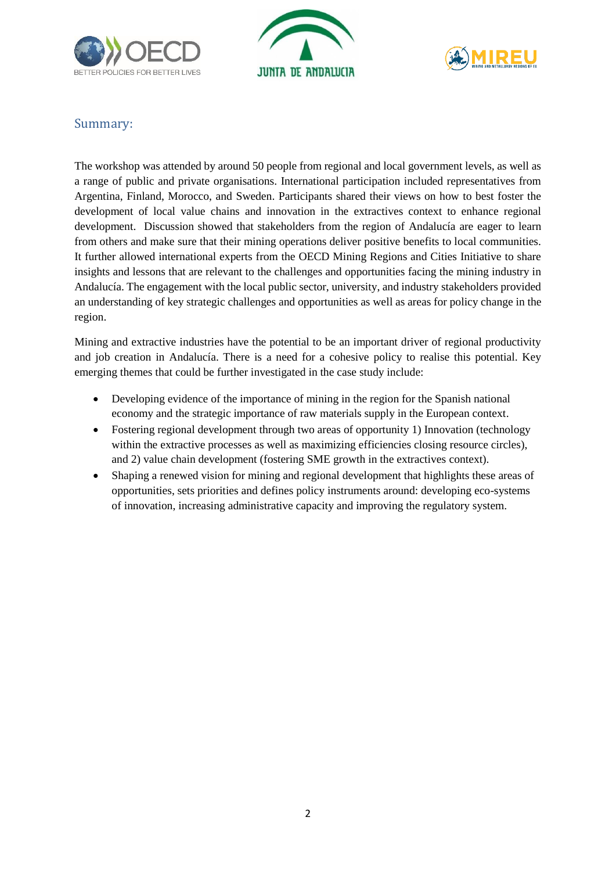





## Summary:

The workshop was attended by around 50 people from regional and local government levels, as well as a range of public and private organisations. International participation included representatives from Argentina, Finland, Morocco, and Sweden. Participants shared their views on how to best foster the development of local value chains and innovation in the extractives context to enhance regional development. Discussion showed that stakeholders from the region of Andalucía are eager to learn from others and make sure that their mining operations deliver positive benefits to local communities. It further allowed international experts from the OECD Mining Regions and Cities Initiative to share insights and lessons that are relevant to the challenges and opportunities facing the mining industry in Andalucía. The engagement with the local public sector, university, and industry stakeholders provided an understanding of key strategic challenges and opportunities as well as areas for policy change in the region.

Mining and extractive industries have the potential to be an important driver of regional productivity and job creation in Andalucía. There is a need for a cohesive policy to realise this potential. Key emerging themes that could be further investigated in the case study include:

- Developing evidence of the importance of mining in the region for the Spanish national economy and the strategic importance of raw materials supply in the European context.
- Fostering regional development through two areas of opportunity 1) Innovation (technology within the extractive processes as well as maximizing efficiencies closing resource circles), and 2) value chain development (fostering SME growth in the extractives context).
- Shaping a renewed vision for mining and regional development that highlights these areas of opportunities, sets priorities and defines policy instruments around: developing eco-systems of innovation, increasing administrative capacity and improving the regulatory system.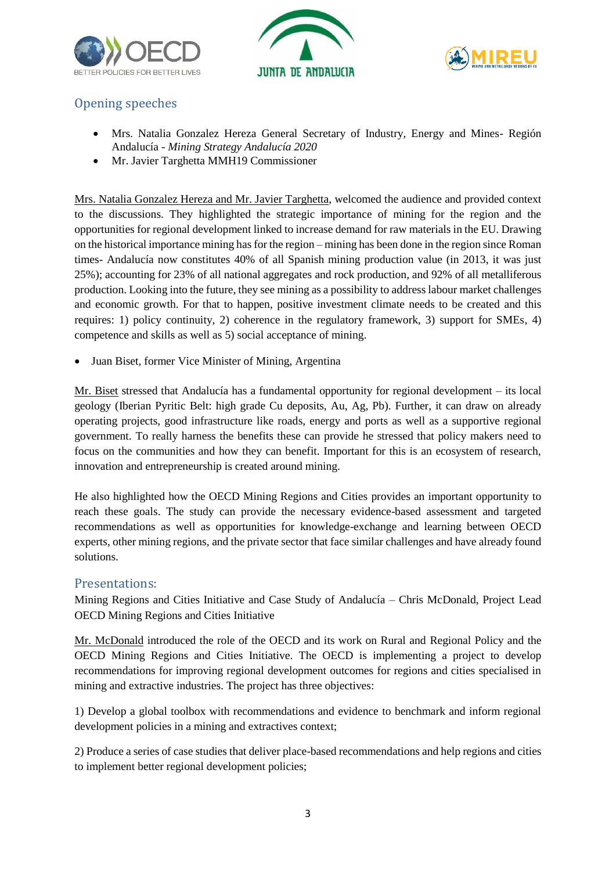





# Opening speeches

- Mrs. Natalia Gonzalez Hereza General Secretary of Industry, Energy and Mines- Región Andalucía - *Mining Strategy Andalucía 2020*
- Mr. Javier Targhetta MMH19 Commissioner

Mrs. Natalia Gonzalez Hereza and Mr. Javier Targhetta, welcomed the audience and provided context to the discussions. They highlighted the strategic importance of mining for the region and the opportunities for regional development linked to increase demand for raw materials in the EU. Drawing on the historical importance mining has for the region – mining has been done in the region since Roman times- Andalucía now constitutes 40% of all Spanish mining production value (in 2013, it was just 25%); accounting for 23% of all national aggregates and rock production, and 92% of all metalliferous production. Looking into the future, they see mining as a possibility to address labour market challenges and economic growth. For that to happen, positive investment climate needs to be created and this requires: 1) policy continuity, 2) coherence in the regulatory framework, 3) support for SMEs, 4) competence and skills as well as 5) social acceptance of mining.

Juan Biset, former Vice Minister of Mining, Argentina

Mr. Biset stressed that Andalucía has a fundamental opportunity for regional development – its local geology (Iberian Pyritic Belt: high grade Cu deposits, Au, Ag, Pb). Further, it can draw on already operating projects, good infrastructure like roads, energy and ports as well as a supportive regional government. To really harness the benefits these can provide he stressed that policy makers need to focus on the communities and how they can benefit. Important for this is an ecosystem of research, innovation and entrepreneurship is created around mining.

He also highlighted how the OECD Mining Regions and Cities provides an important opportunity to reach these goals. The study can provide the necessary evidence-based assessment and targeted recommendations as well as opportunities for knowledge-exchange and learning between OECD experts, other mining regions, and the private sector that face similar challenges and have already found solutions.

### Presentations:

Mining Regions and Cities Initiative and Case Study of Andalucía – Chris McDonald, Project Lead OECD Mining Regions and Cities Initiative

Mr. McDonald introduced the role of the OECD and its work on Rural and Regional Policy and the OECD Mining Regions and Cities Initiative. The OECD is implementing a project to develop recommendations for improving regional development outcomes for regions and cities specialised in mining and extractive industries. The project has three objectives:

1) Develop a global toolbox with recommendations and evidence to benchmark and inform regional development policies in a mining and extractives context;

2) Produce a series of case studies that deliver place-based recommendations and help regions and cities to implement better regional development policies;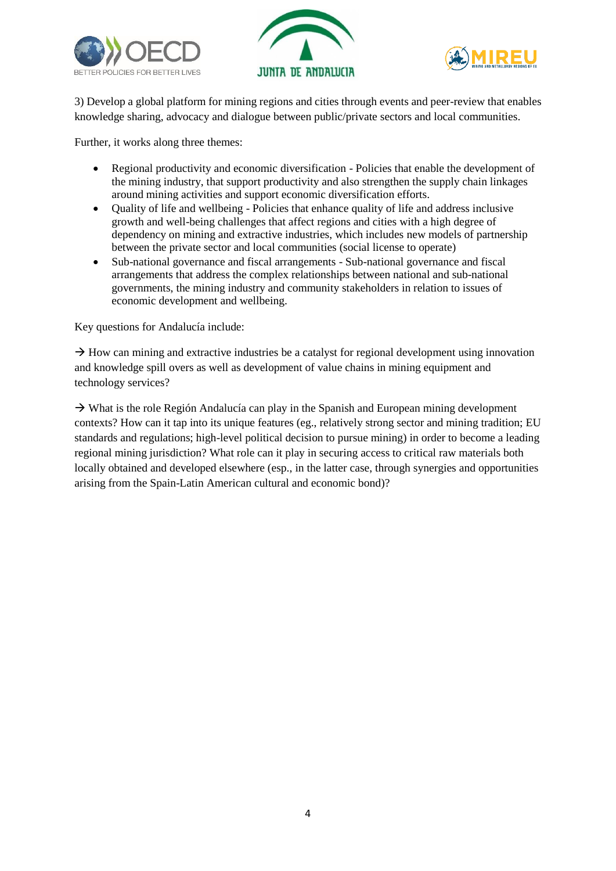





3) Develop a global platform for mining regions and cities through events and peer-review that enables knowledge sharing, advocacy and dialogue between public/private sectors and local communities.

Further, it works along three themes:

- Regional productivity and economic diversification Policies that enable the development of the mining industry, that support productivity and also strengthen the supply chain linkages around mining activities and support economic diversification efforts.
- Quality of life and wellbeing Policies that enhance quality of life and address inclusive growth and well-being challenges that affect regions and cities with a high degree of dependency on mining and extractive industries, which includes new models of partnership between the private sector and local communities (social license to operate)
- Sub-national governance and fiscal arrangements Sub-national governance and fiscal arrangements that address the complex relationships between national and sub-national governments, the mining industry and community stakeholders in relation to issues of economic development and wellbeing.

Key questions for Andalucía include:

 $\rightarrow$  How can mining and extractive industries be a catalyst for regional development using innovation and knowledge spill overs as well as development of value chains in mining equipment and technology services?

 $\rightarrow$  What is the role Región Andalucía can play in the Spanish and European mining development contexts? How can it tap into its unique features (eg., relatively strong sector and mining tradition; EU standards and regulations; high-level political decision to pursue mining) in order to become a leading regional mining jurisdiction? What role can it play in securing access to critical raw materials both locally obtained and developed elsewhere (esp., in the latter case, through synergies and opportunities arising from the Spain-Latin American cultural and economic bond)?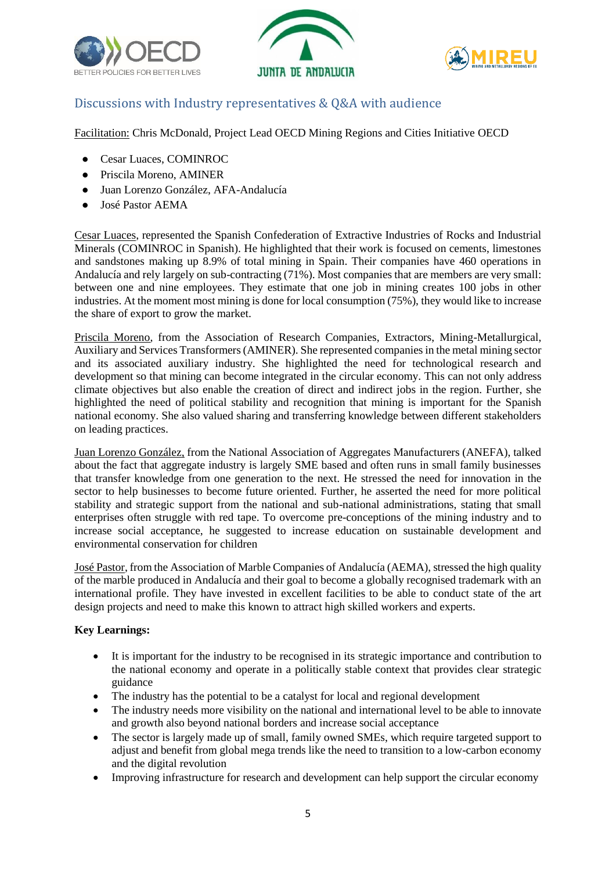





## Discussions with Industry representatives & Q&A with audience

Facilitation: Chris McDonald, Project Lead OECD Mining Regions and Cities Initiative OECD

- Cesar Luaces, COMINROC
- Priscila Moreno, AMINER
- Juan Lorenzo González, AFA-Andalucía
- José Pastor AEMA

Cesar Luaces, represented the Spanish Confederation of Extractive Industries of Rocks and Industrial Minerals (COMINROC in Spanish). He highlighted that their work is focused on cements, limestones and sandstones making up 8.9% of total mining in Spain. Their companies have 460 operations in Andalucía and rely largely on sub-contracting (71%). Most companies that are members are very small: between one and nine employees. They estimate that one job in mining creates 100 jobs in other industries. At the moment most mining is done for local consumption (75%), they would like to increase the share of export to grow the market.

Priscila Moreno, from the Association of Research Companies, Extractors, Mining-Metallurgical, Auxiliary and Services Transformers (AMINER). She represented companies in the metal mining sector and its associated auxiliary industry. She highlighted the need for technological research and development so that mining can become integrated in the circular economy. This can not only address climate objectives but also enable the creation of direct and indirect jobs in the region. Further, she highlighted the need of political stability and recognition that mining is important for the Spanish national economy. She also valued sharing and transferring knowledge between different stakeholders on leading practices.

Juan Lorenzo González, from the National Association of Aggregates Manufacturers (ANEFA), talked about the fact that aggregate industry is largely SME based and often runs in small family businesses that transfer knowledge from one generation to the next. He stressed the need for innovation in the sector to help businesses to become future oriented. Further, he asserted the need for more political stability and strategic support from the national and sub-national administrations, stating that small enterprises often struggle with red tape. To overcome pre-conceptions of the mining industry and to increase social acceptance, he suggested to increase education on sustainable development and environmental conservation for children

José Pastor, from the Association of Marble Companies of Andalucía (AEMA), stressed the high quality of the marble produced in Andalucía and their goal to become a globally recognised trademark with an international profile. They have invested in excellent facilities to be able to conduct state of the art design projects and need to make this known to attract high skilled workers and experts.

### **Key Learnings:**

- It is important for the industry to be recognised in its strategic importance and contribution to the national economy and operate in a politically stable context that provides clear strategic guidance
- The industry has the potential to be a catalyst for local and regional development
- The industry needs more visibility on the national and international level to be able to innovate and growth also beyond national borders and increase social acceptance
- The sector is largely made up of small, family owned SMEs, which require targeted support to adjust and benefit from global mega trends like the need to transition to a low-carbon economy and the digital revolution
- Improving infrastructure for research and development can help support the circular economy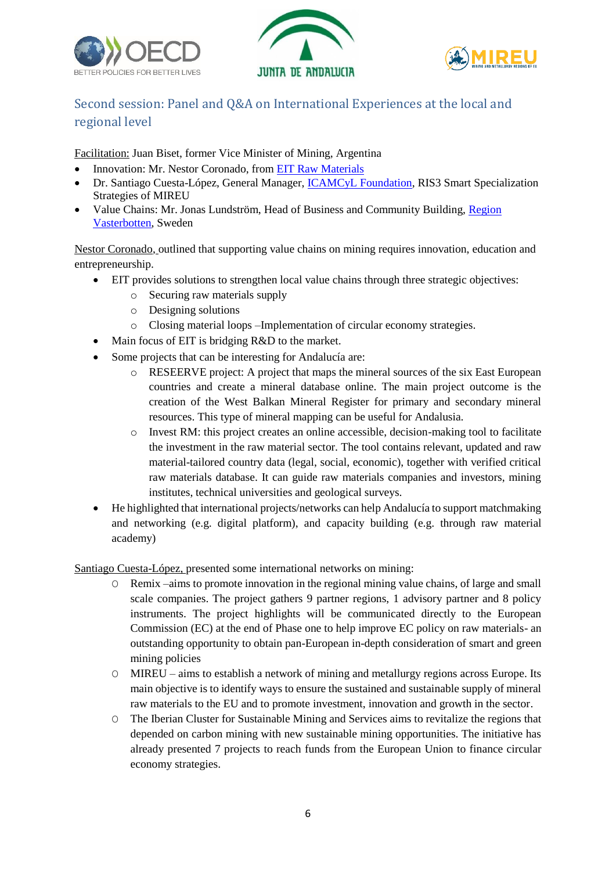





# Second session: Panel and Q&A on International Experiences at the local and regional level

Facilitation: Juan Biset, former Vice Minister of Mining, Argentina

- Innovation: Mr. Nestor Coronado, from [EIT Raw Materials](https://eitrawmaterials.eu/)
- Dr. Santiago Cuesta-López, General Manager, *ICAMCyL Foundation*, RIS3 Smart Specialization Strategies of MIREU
- Value Chains: Mr. Jonas Lundström, Head of Business and Community Building, [Region](https://www.regionvasterbotten.se/)  [Vasterbotten,](https://www.regionvasterbotten.se/) Sweden

Nestor Coronado, outlined that supporting value chains on mining requires innovation, education and entrepreneurship.

- EIT provides solutions to strengthen local value chains through three strategic objectives:
	- o Securing raw materials supply
	- o Designing solutions
	- o Closing material loops –Implementation of circular economy strategies.
- Main focus of EIT is bridging R&D to the market.
- Some projects that can be interesting for Andalucía are:
	- o RESEERVE project: A project that maps the mineral sources of the six East European countries and create a mineral database online. The main project outcome is the creation of the West Balkan Mineral Register for primary and secondary mineral resources. This type of mineral mapping can be useful for Andalusia.
	- $\circ$  Invest RM: this project creates an online accessible, decision-making tool to facilitate the investment in the raw material sector. The tool contains relevant, updated and raw material-tailored country data (legal, social, economic), together with verified critical raw materials database. It can guide raw materials companies and investors, mining institutes, technical universities and geological surveys.
- He highlighted that international projects/networks can help Andalucía to support matchmaking and networking (e.g. digital platform), and capacity building (e.g. through raw material academy)

Santiago Cuesta-López, presented some international networks on mining:

- O Remix –aims to promote innovation in the regional mining value chains, of large and small scale companies. The project gathers 9 partner regions, 1 advisory partner and 8 policy instruments. The project highlights will be communicated directly to the European Commission (EC) at the end of Phase one to help improve EC policy on raw materials- an outstanding opportunity to obtain pan-European in-depth consideration of smart and green mining policies
- O MIREU aims to establish a network of mining and metallurgy regions across Europe. Its main objective is to identify ways to ensure the sustained and sustainable supply of mineral raw materials to the EU and to promote investment, innovation and growth in the sector.
- O The Iberian Cluster for Sustainable Mining and Services aims to revitalize the regions that depended on carbon mining with new sustainable mining opportunities. The initiative has already presented 7 projects to reach funds from the European Union to finance circular economy strategies.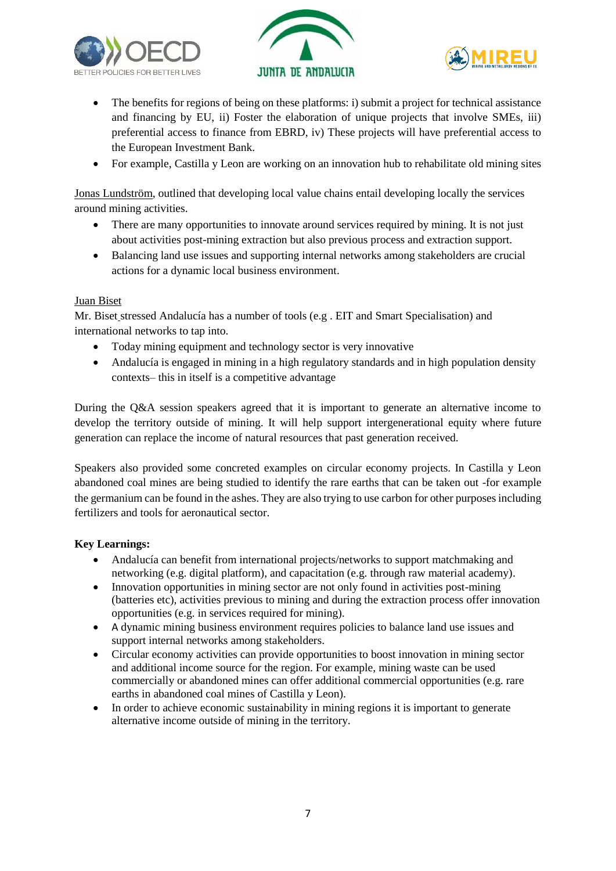





- The benefits for regions of being on these platforms: i) submit a project for technical assistance and financing by EU, ii) Foster the elaboration of unique projects that involve SMEs, iii) preferential access to finance from EBRD, iv) These projects will have preferential access to the European Investment Bank.
- For example, Castilla y Leon are working on an innovation hub to rehabilitate old mining sites

Jonas Lundström, outlined that developing local value chains entail developing locally the services around mining activities.

- There are many opportunities to innovate around services required by mining. It is not just about activities post-mining extraction but also previous process and extraction support.
- Balancing land use issues and supporting internal networks among stakeholders are crucial actions for a dynamic local business environment.

#### Juan Biset

Mr. Biset stressed Andalucía has a number of tools (e.g . EIT and Smart Specialisation) and international networks to tap into.

- Today mining equipment and technology sector is very innovative
- Andalucía is engaged in mining in a high regulatory standards and in high population density contexts– this in itself is a competitive advantage

During the Q&A session speakers agreed that it is important to generate an alternative income to develop the territory outside of mining. It will help support intergenerational equity where future generation can replace the income of natural resources that past generation received.

Speakers also provided some concreted examples on circular economy projects. In Castilla y Leon abandoned coal mines are being studied to identify the rare earths that can be taken out -for example the germanium can be found in the ashes. They are also trying to use carbon for other purposes including fertilizers and tools for aeronautical sector.

### **Key Learnings:**

- Andalucía can benefit from international projects/networks to support matchmaking and networking (e.g. digital platform), and capacitation (e.g. through raw material academy).
- Innovation opportunities in mining sector are not only found in activities post-mining (batteries etc), activities previous to mining and during the extraction process offer innovation opportunities (e.g. in services required for mining).
- A dynamic mining business environment requires policies to balance land use issues and support internal networks among stakeholders.
- Circular economy activities can provide opportunities to boost innovation in mining sector and additional income source for the region. For example, mining waste can be used commercially or abandoned mines can offer additional commercial opportunities (e.g. rare earths in abandoned coal mines of Castilla y Leon).
- In order to achieve economic sustainability in mining regions it is important to generate alternative income outside of mining in the territory.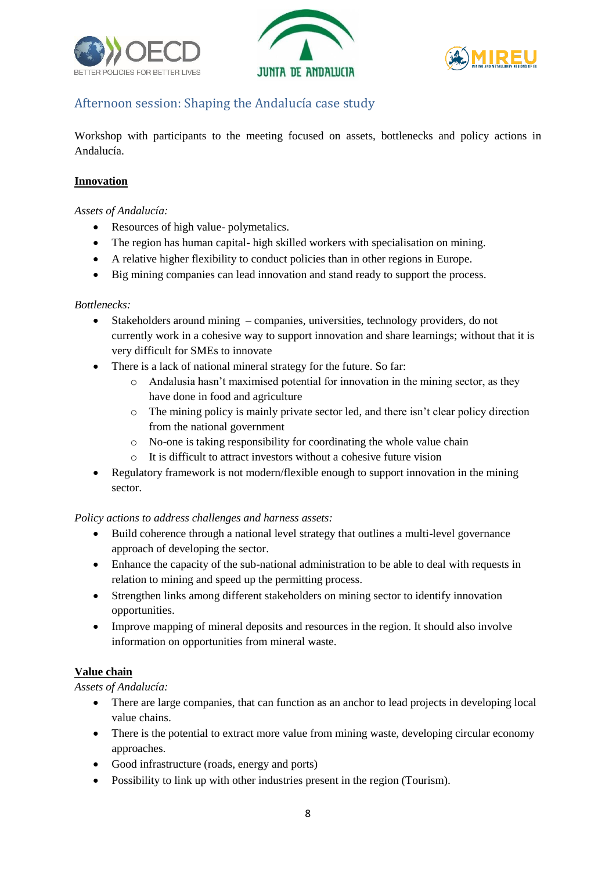





# Afternoon session: Shaping the Andalucía case study

Workshop with participants to the meeting focused on assets, bottlenecks and policy actions in Andalucía.

### **Innovation**

### *Assets of Andalucía:*

- Resources of high value- polymetalics.
- The region has human capital- high skilled workers with specialisation on mining.
- A relative higher flexibility to conduct policies than in other regions in Europe.
- Big mining companies can lead innovation and stand ready to support the process.

#### *Bottlenecks:*

- Stakeholders around mining companies, universities, technology providers, do not currently work in a cohesive way to support innovation and share learnings; without that it is very difficult for SMEs to innovate
- There is a lack of national mineral strategy for the future. So far:
	- $\circ$  Andalusia hasn't maximised potential for innovation in the mining sector, as they have done in food and agriculture
	- o The mining policy is mainly private sector led, and there isn't clear policy direction from the national government
	- o No-one is taking responsibility for coordinating the whole value chain
	- o It is difficult to attract investors without a cohesive future vision
- Regulatory framework is not modern/flexible enough to support innovation in the mining sector.

### *Policy actions to address challenges and harness assets:*

- Build coherence through a national level strategy that outlines a multi-level governance approach of developing the sector.
- Enhance the capacity of the sub-national administration to be able to deal with requests in relation to mining and speed up the permitting process.
- Strengthen links among different stakeholders on mining sector to identify innovation opportunities.
- Improve mapping of mineral deposits and resources in the region. It should also involve information on opportunities from mineral waste.

### **Value chain**

*Assets of Andalucía:*

- There are large companies, that can function as an anchor to lead projects in developing local value chains.
- There is the potential to extract more value from mining waste, developing circular economy approaches.
- Good infrastructure (roads, energy and ports)
- Possibility to link up with other industries present in the region (Tourism).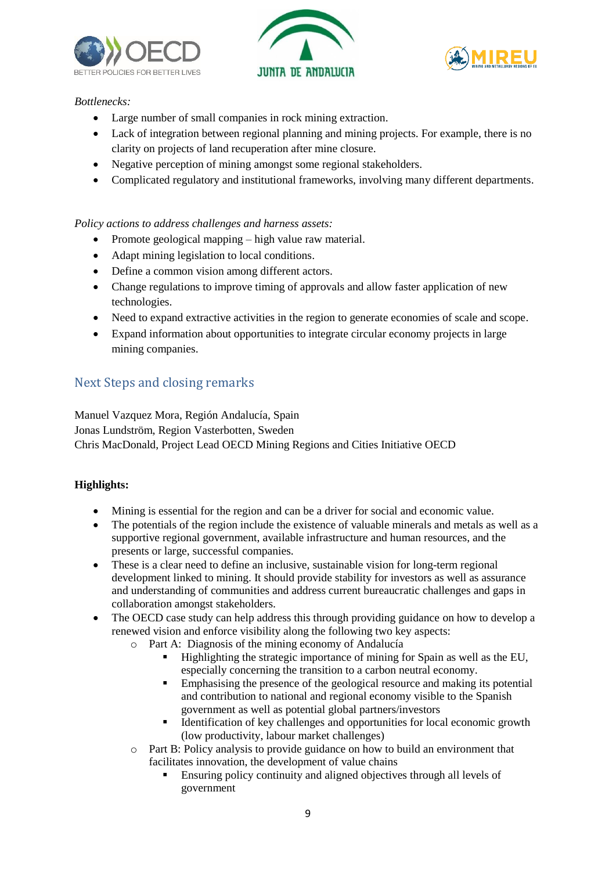





### *Bottlenecks:*

- Large number of small companies in rock mining extraction.
- Lack of integration between regional planning and mining projects. For example, there is no clarity on projects of land recuperation after mine closure.
- Negative perception of mining amongst some regional stakeholders.
- Complicated regulatory and institutional frameworks, involving many different departments.

### *Policy actions to address challenges and harness assets:*

- Promote geological mapping high value raw material.
- Adapt mining legislation to local conditions.
- Define a common vision among different actors.
- Change regulations to improve timing of approvals and allow faster application of new technologies.
- Need to expand extractive activities in the region to generate economies of scale and scope.
- Expand information about opportunities to integrate circular economy projects in large mining companies.

### Next Steps and closing remarks

Manuel Vazquez Mora, Región Andalucía, Spain Jonas Lundström, Region Vasterbotten, Sweden Chris MacDonald, Project Lead OECD Mining Regions and Cities Initiative OECD

### **Highlights:**

- Mining is essential for the region and can be a driver for social and economic value.
- The potentials of the region include the existence of valuable minerals and metals as well as a supportive regional government, available infrastructure and human resources, and the presents or large, successful companies.
- These is a clear need to define an inclusive, sustainable vision for long-term regional development linked to mining. It should provide stability for investors as well as assurance and understanding of communities and address current bureaucratic challenges and gaps in collaboration amongst stakeholders.
- The OECD case study can help address this through providing guidance on how to develop a renewed vision and enforce visibility along the following two key aspects:
	- o Part A: Diagnosis of the mining economy of Andalucía
		- Highlighting the strategic importance of mining for Spain as well as the EU, especially concerning the transition to a carbon neutral economy.
		- **Emphasising the presence of the geological resource and making its potential** and contribution to national and regional economy visible to the Spanish government as well as potential global partners/investors
		- Identification of key challenges and opportunities for local economic growth (low productivity, labour market challenges)
	- o Part B: Policy analysis to provide guidance on how to build an environment that facilitates innovation, the development of value chains
		- Ensuring policy continuity and aligned objectives through all levels of government